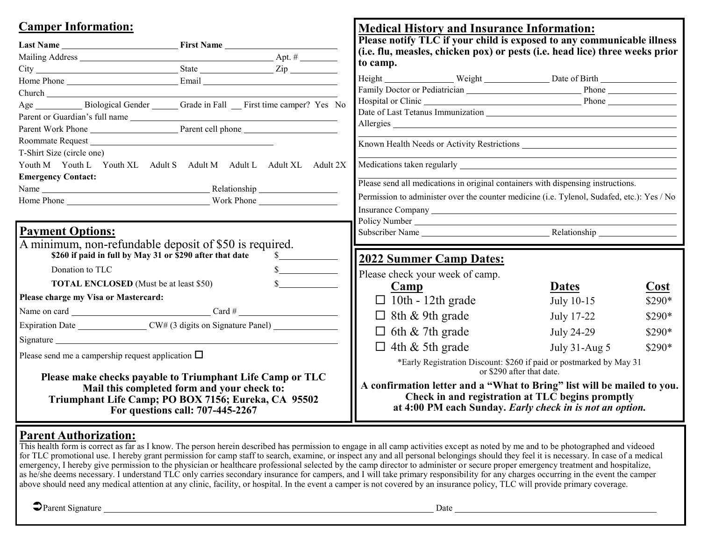| <b>Camper Information:</b>                                                                                                                                      |                                                                                                                                                                                                                                | <b>Medical History and Insurance Information:</b>                                                                                                                                                                              |               |         |  |                                  |  |  |  |
|-----------------------------------------------------------------------------------------------------------------------------------------------------------------|--------------------------------------------------------------------------------------------------------------------------------------------------------------------------------------------------------------------------------|--------------------------------------------------------------------------------------------------------------------------------------------------------------------------------------------------------------------------------|---------------|---------|--|----------------------------------|--|--|--|
| Last Name First Name                                                                                                                                            |                                                                                                                                                                                                                                | Please notify TLC if your child is exposed to any communicable illness                                                                                                                                                         |               |         |  |                                  |  |  |  |
|                                                                                                                                                                 |                                                                                                                                                                                                                                | (i.e. flu, measles, chicken pox) or pests (i.e. head lice) three weeks prior                                                                                                                                                   |               |         |  |                                  |  |  |  |
|                                                                                                                                                                 |                                                                                                                                                                                                                                | to camp.                                                                                                                                                                                                                       |               |         |  |                                  |  |  |  |
|                                                                                                                                                                 |                                                                                                                                                                                                                                | Height Neight Neight Date of Birth                                                                                                                                                                                             |               |         |  |                                  |  |  |  |
|                                                                                                                                                                 |                                                                                                                                                                                                                                | Family Doctor or Pediatrician Phone Phone Phone                                                                                                                                                                                |               |         |  |                                  |  |  |  |
|                                                                                                                                                                 | Age _____________ Biological Gender ________ Grade in Fall ____ First time camper? Yes No                                                                                                                                      |                                                                                                                                                                                                                                |               |         |  |                                  |  |  |  |
|                                                                                                                                                                 |                                                                                                                                                                                                                                | Date of Last Tetanus Immunization New York Channels and School Channels and School Channels and School Channels and School Channels and School Channels and School Channels and School Channels and School Channels and School |               |         |  |                                  |  |  |  |
| Parent Work Phone Parent cell phone                                                                                                                             |                                                                                                                                                                                                                                |                                                                                                                                                                                                                                |               |         |  |                                  |  |  |  |
| Roommate Request <b>Executes Roommate</b> Request                                                                                                               |                                                                                                                                                                                                                                | Known Health Needs or Activity Restrictions                                                                                                                                                                                    |               |         |  |                                  |  |  |  |
| T-Shirt Size (circle one)                                                                                                                                       |                                                                                                                                                                                                                                |                                                                                                                                                                                                                                |               |         |  |                                  |  |  |  |
| Youth M Youth L Youth XL Adult S Adult M Adult L Adult XL Adult 2X                                                                                              |                                                                                                                                                                                                                                |                                                                                                                                                                                                                                |               |         |  |                                  |  |  |  |
| <b>Emergency Contact:</b>                                                                                                                                       |                                                                                                                                                                                                                                |                                                                                                                                                                                                                                |               |         |  |                                  |  |  |  |
|                                                                                                                                                                 |                                                                                                                                                                                                                                | Please send all medications in original containers with dispensing instructions.<br>Permission to administer over the counter medicine (i.e. Tylenol, Sudafed, etc.): Yes / No                                                 |               |         |  |                                  |  |  |  |
|                                                                                                                                                                 | Home Phone Leader and The Work Phone Leader and Work Phone Leader and Work Phone Leader and Work Phone Leader                                                                                                                  |                                                                                                                                                                                                                                |               |         |  |                                  |  |  |  |
|                                                                                                                                                                 |                                                                                                                                                                                                                                |                                                                                                                                                                                                                                |               |         |  |                                  |  |  |  |
| <b>Payment Options:</b>                                                                                                                                         |                                                                                                                                                                                                                                | Subscriber Name Relationship                                                                                                                                                                                                   |               |         |  |                                  |  |  |  |
| A minimum, non-refundable deposit of \$50 is required.                                                                                                          |                                                                                                                                                                                                                                |                                                                                                                                                                                                                                |               |         |  |                                  |  |  |  |
| \$260 if paid in full by May 31 or \$290 after that date                                                                                                        |                                                                                                                                                                                                                                | 2022 Summer Camp Dates:                                                                                                                                                                                                        |               |         |  |                                  |  |  |  |
| Donation to TLC                                                                                                                                                 | $\frac{1}{2}$                                                                                                                                                                                                                  |                                                                                                                                                                                                                                |               |         |  |                                  |  |  |  |
| <b>TOTAL ENCLOSED</b> (Must be at least \$50)                                                                                                                   |                                                                                                                                                                                                                                | Please check your week of camp.                                                                                                                                                                                                |               |         |  |                                  |  |  |  |
| Please charge my Visa or Mastercard:                                                                                                                            |                                                                                                                                                                                                                                | Camp                                                                                                                                                                                                                           | <b>Dates</b>  | Cost    |  |                                  |  |  |  |
|                                                                                                                                                                 |                                                                                                                                                                                                                                | $\Box$ 10th - 12th grade                                                                                                                                                                                                       | July 10-15    | \$290*  |  |                                  |  |  |  |
|                                                                                                                                                                 |                                                                                                                                                                                                                                | $\Box$ 8th & 9th grade                                                                                                                                                                                                         | July 17-22    | \$290*  |  |                                  |  |  |  |
|                                                                                                                                                                 |                                                                                                                                                                                                                                | $\Box$ 6th & 7th grade                                                                                                                                                                                                         | July 24-29    | \$290*  |  |                                  |  |  |  |
|                                                                                                                                                                 | Signature experience and the state of the state of the state of the state of the state of the state of the state of the state of the state of the state of the state of the state of the state of the state of the state of th |                                                                                                                                                                                                                                |               |         |  |                                  |  |  |  |
| Please send me a campership request application $\square$                                                                                                       |                                                                                                                                                                                                                                | $\Box$ 4th & 5th grade                                                                                                                                                                                                         | July 31-Aug 5 | $$290*$ |  |                                  |  |  |  |
|                                                                                                                                                                 |                                                                                                                                                                                                                                | *Early Registration Discount: \$260 if paid or postmarked by May 31<br>or \$290 after that date.                                                                                                                               |               |         |  |                                  |  |  |  |
| Please make checks payable to Triumphant Life Camp or TLC<br>Mail this completed form and your check to:<br>Triumphant Life Camp; PO BOX 7156; Eureka, CA 95502 |                                                                                                                                                                                                                                | A confirmation letter and a "What to Bring" list will be mailed to you.<br>Check in and registration at TLC begins promptly<br>at 4:00 PM each Sunday. Early check in is not an option.                                        |               |         |  |                                  |  |  |  |
|                                                                                                                                                                 |                                                                                                                                                                                                                                |                                                                                                                                                                                                                                |               |         |  | For questions call: 707-445-2267 |  |  |  |

## **Parent Authorization:**

This health form is correct as far as I know. The person herein described has permission to engage in all camp activities except as noted by me and to be photographed and videoed for TLC promotional use. I hereby grant permission for camp staff to search, examine, or inspect any and all personal belongings should they feel it is necessary. In case of a medical emergency, I hereby give permission to the physician or healthcare professional selected by the camp director to administer or secure proper emergency treatment and hospitalize, as he/she deems necessary. I understand TLC only carries secondary insurance for campers, and I will take primary responsibility for any charges occurring in the event the camper above should need any medical attention at any clinic, facility, or hospital. In the event a camper is not covered by an insurance policy, TLC will provide primary coverage.

**O**Parent Signature Date Date Date